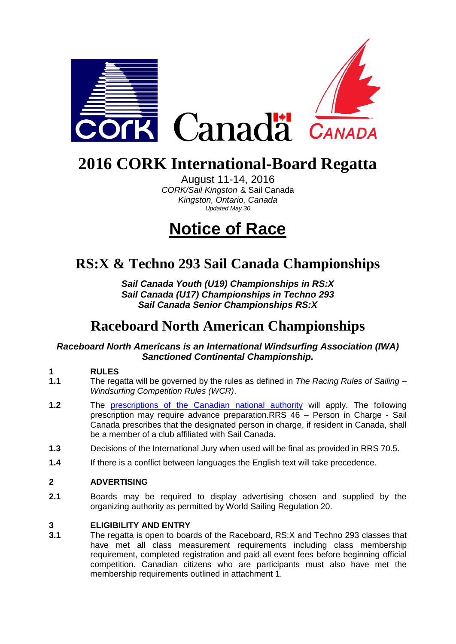

## **2016 CORK International-Board Regatta**

August 11-14, 2016 *CORK/Sail Kingston* & Sail Canada *Kingston, Ontario, Canada Updated May 30*

## **Notice of Race**

## **RS:X & Techno 293 Sail Canada Championships**

*Sail Canada Youth (U19) Championships in RS:X Sail Canada (U17) Championships in Techno 293 Sail Canada Senior Championships RS:X*

## **Raceboard North American Championships**

### *Raceboard North Americans is an International Windsurfing Association (IWA) Sanctioned Continental Championship.*

## **1 RULES**

- **1.1** The regatta will be governed by the rules as defined in *The Racing Rules of Sailing – Windsurfing Competition Rules (WCR)*.
- **1.2** The [prescriptions of the Canadian national authority](http://www.sailing.ca/files/SC_Prescrip_Arbit_2013_16.pdf) will apply. The following prescription may require advance preparation.RRS 46 – Person in Charge - Sail Canada prescribes that the designated person in charge, if resident in Canada, shall be a member of a club affiliated with Sail Canada.
- **1.3** Decisions of the International Jury when used will be final as provided in RRS 70.5.
- **1.4** If there is a conflict between languages the English text will take precedence.

### **2 ADVERTISING**

**2.1** Boards may be required to display advertising chosen and supplied by the organizing authority as permitted by World Sailing Regulation 20.

#### **3 ELIGIBILITY AND ENTRY**

**3.1** The regatta is open to boards of the Raceboard, RS:X and Techno 293 classes that have met all class measurement requirements including class membership requirement, completed registration and paid all event fees before beginning official competition. Canadian citizens who are participants must also have met the membership requirements outlined in attachment 1.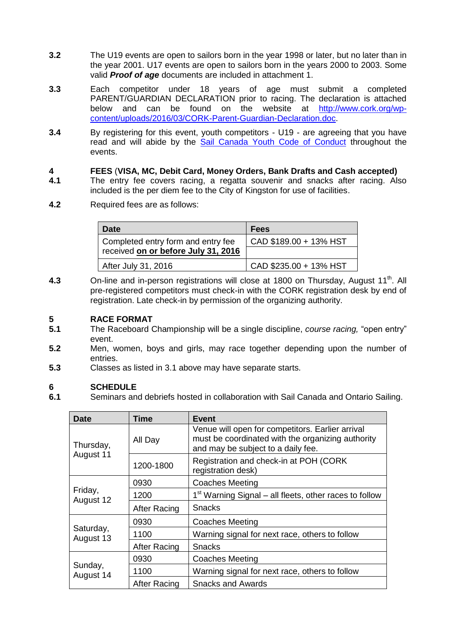- **3.2** The U19 events are open to sailors born in the year 1998 or later, but no later than in the year 2001. U17 events are open to sailors born in the years 2000 to 2003. Some valid *Proof of age* documents are included in attachment 1.
- **3.3** Each competitor under 18 years of age must submit a completed PARENT/GUARDIAN DECLARATION prior to racing. The declaration is attached below and can be found on the website at [http://www.cork.org/wp](http://www.cork.org/wp-content/uploads/2016/03/CORK-Parent-Guardian-Declaration.doc)[content/uploads/2016/03/CORK-Parent-Guardian-Declaration.doc.](http://www.cork.org/wp-content/uploads/2016/03/CORK-Parent-Guardian-Declaration.doc)
- **3.4** By registering for this event, youth competitors U19 are agreeing that you have read and will abide by the [Sail Canada Youth Code of Conduct](http://www.sailing.ca/files/Sail_Canada_YOUTH_CODE_OF_CONDUCT.pdf) throughout the events.

## **4 FEES** (VISA, MC, Debit Card, Money Orders, Bank Drafts and Cash accepted)<br>**4.1** The entry fee covers racing, a regatta souvenir and snacks after racing. Als

- **4.1** The entry fee covers racing, a regatta souvenir and snacks after racing. Also included is the per diem fee to the City of Kingston for use of facilities.
- **4.2** Required fees are as follows:

| Date                                | <b>Fees</b>            |  |
|-------------------------------------|------------------------|--|
| Completed entry form and entry fee  | CAD \$189.00 + 13% HST |  |
| received on or before July 31, 2016 |                        |  |
| After July 31, 2016                 | CAD \$235.00 + 13% HST |  |

**4.3** On-line and in-person registrations will close at 1800 on Thursday, August 11<sup>th</sup>. All pre-registered competitors must check-in with the CORK registration desk by end of registration. Late check-in by permission of the organizing authority.

#### **5 RACE FORMAT**

- **5.1** The Raceboard Championship will be a single discipline, *course racing,* "open entry" event.
- **5.2** Men, women, boys and girls, may race together depending upon the number of entries.
- **5.3** Classes as listed in 3.1 above may have separate starts.

### **6 SCHEDULE**

**6.1** Seminars and debriefs hosted in collaboration with Sail Canada and Ontario Sailing.

| <b>Date</b>            | Time                | <b>Event</b>                                                                                                                                |  |
|------------------------|---------------------|---------------------------------------------------------------------------------------------------------------------------------------------|--|
| Thursday,<br>August 11 | All Day             | Venue will open for competitors. Earlier arrival<br>must be coordinated with the organizing authority<br>and may be subject to a daily fee. |  |
|                        | 1200-1800           | Registration and check-in at POH (CORK)<br>registration desk)                                                                               |  |
| Friday,<br>August 12   | 0930                | <b>Coaches Meeting</b>                                                                                                                      |  |
|                        | 1200                | 1 <sup>st</sup> Warning Signal – all fleets, other races to follow                                                                          |  |
|                        | <b>After Racing</b> | <b>Snacks</b>                                                                                                                               |  |
| Saturday,<br>August 13 | 0930                | <b>Coaches Meeting</b>                                                                                                                      |  |
|                        | 1100                | Warning signal for next race, others to follow                                                                                              |  |
|                        | <b>After Racing</b> | Snacks                                                                                                                                      |  |
| Sunday,<br>August 14   | 0930                | <b>Coaches Meeting</b>                                                                                                                      |  |
|                        | 1100                | Warning signal for next race, others to follow                                                                                              |  |
|                        | <b>After Racing</b> | <b>Snacks and Awards</b>                                                                                                                    |  |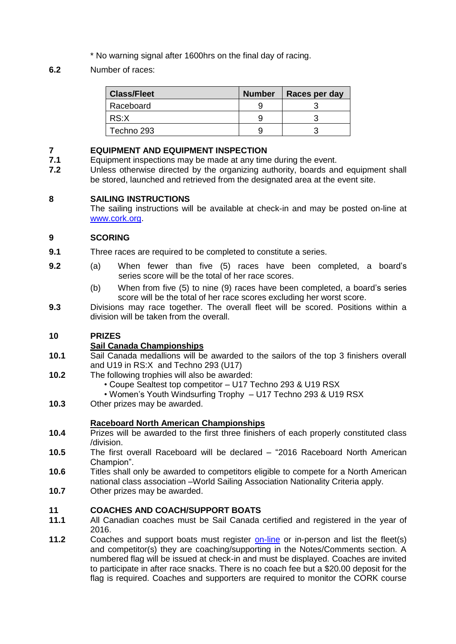- \* No warning signal after 1600hrs on the final day of racing.
- **6.2** Number of races:

| <b>Class/Fleet</b> | <b>Number</b> | Races per day |
|--------------------|---------------|---------------|
| Raceboard          |               |               |
| RS:X               |               |               |
| Techno 293         |               |               |

## **7 EQUIPMENT AND EQUIPMENT INSPECTION**

- **7.1** Equipment inspections may be made at any time during the event.
- **7.2** Unless otherwise directed by the organizing authority, boards and equipment shall be stored, launched and retrieved from the designated area at the event site.

### **8 SAILING INSTRUCTIONS**

The sailing instructions will be available at check-in and may be posted on-line at [www.cork.org.](http://www.cork.org/)

#### **9 SCORING**

- **9.1** Three races are required to be completed to constitute a series.
- **9.2** (a) When fewer than five (5) races have been completed, a board's series score will be the total of her race scores.
	- (b) When from five (5) to nine (9) races have been completed, a board's series score will be the total of her race scores excluding her worst score.
- **9.3** Divisions may race together. The overall fleet will be scored. Positions within a division will be taken from the overall.

### **10 PRIZES**

### **Sail Canada Championships**

- **10.1** Sail Canada medallions will be awarded to the sailors of the top 3 finishers overall and U19 in RS:X and Techno 293 (U17)
- **10.2** The following trophies will also be awarded:
	- Coupe Sealtest top competitor U17 Techno 293 & U19 RSX
	- Women's Youth Windsurfing Trophy U17 Techno 293 & U19 RSX
- **10.3** Other prizes may be awarded.

### **Raceboard North American Championships**

- **10.4** Prizes will be awarded to the first three finishers of each properly constituted class /division.
- **10.5** The first overall Raceboard will be declared "2016 Raceboard North American Champion".
- **10.6** Titles shall only be awarded to competitors eligible to compete for a North American national class association –World Sailing Association Nationality Criteria apply.
- **10.7** Other prizes may be awarded.

#### **11 COACHES AND COACH/SUPPORT BOATS**

- **11.1** All Canadian coaches must be Sail Canada certified and registered in the year of 2016.
- **11.2** Coaches and support boats must register [on-line](http://www.cork.org/members/sign_in.php) or in-person and list the fleet(s) and competitor(s) they are coaching/supporting in the Notes/Comments section. A numbered flag will be issued at check-in and must be displayed. Coaches are invited to participate in after race snacks. There is no coach fee but a \$20.00 deposit for the flag is required. Coaches and supporters are required to monitor the CORK course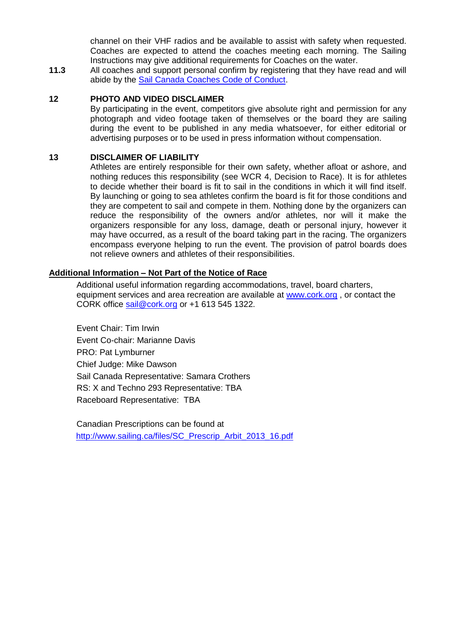channel on their VHF radios and be available to assist with safety when requested. Coaches are expected to attend the coaches meeting each morning. The Sailing Instructions may give additional requirements for Coaches on the water.

**11.3** All coaches and support personal confirm by registering that they have read and will abide by the [Sail Canada Coaches Code of Conduct.](http://www.sailing.ca/files/2015_Sail_Canada_Coaches_Code_of_Conduct.pdf)

#### **12 PHOTO AND VIDEO DISCLAIMER**

By participating in the event, competitors give absolute right and permission for any photograph and video footage taken of themselves or the board they are sailing during the event to be published in any media whatsoever, for either editorial or advertising purposes or to be used in press information without compensation.

#### **13 DISCLAIMER OF LIABILITY**

Athletes are entirely responsible for their own safety, whether afloat or ashore, and nothing reduces this responsibility (see WCR 4, Decision to Race). It is for athletes to decide whether their board is fit to sail in the conditions in which it will find itself. By launching or going to sea athletes confirm the board is fit for those conditions and they are competent to sail and compete in them. Nothing done by the organizers can reduce the responsibility of the owners and/or athletes, nor will it make the organizers responsible for any loss, damage, death or personal injury, however it may have occurred, as a result of the board taking part in the racing. The organizers encompass everyone helping to run the event. The provision of patrol boards does not relieve owners and athletes of their responsibilities.

#### **Additional Information – Not Part of the Notice of Race**

Additional useful information regarding accommodations, travel, board charters, equipment services and area recreation are available at [www.cork.org](http://www.cork.org/), or contact the CORK office [sail@cork.org](mailto:sail@cork.org) or +1 613 545 1322.

Event Chair: Tim Irwin Event Co-chair: Marianne Davis PRO: Pat Lymburner Chief Judge: Mike Dawson Sail Canada Representative: Samara Crothers RS: X and Techno 293 Representative: TBA Raceboard Representative: TBA

Canadian Prescriptions can be found at [http://www.sailing.ca/files/SC\\_Prescrip\\_Arbit\\_2013\\_16.pdf](http://www.sailing.ca/files/SC_Prescrip_Arbit_2013_16.pdf)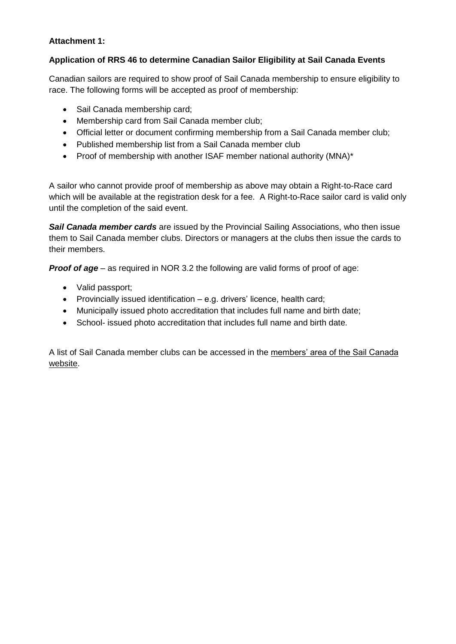### **Attachment 1:**

#### **Application of RRS 46 to determine Canadian Sailor Eligibility at Sail Canada Events**

Canadian sailors are required to show proof of Sail Canada membership to ensure eligibility to race. The following forms will be accepted as proof of membership:

- Sail Canada membership card;
- Membership card from Sail Canada member club;
- Official letter or document confirming membership from a Sail Canada member club;
- Published membership list from a Sail Canada member club
- Proof of membership with another ISAF member national authority (MNA)\*

A sailor who cannot provide proof of membership as above may obtain a Right-to-Race card which will be available at the registration desk for a fee. A Right-to-Race sailor card is valid only until the completion of the said event.

*Sail Canada member cards* are issued by the Provincial Sailing Associations, who then issue them to Sail Canada member clubs. Directors or managers at the clubs then issue the cards to their members.

*Proof of age* – as required in NOR 3.2 the following are valid forms of proof of age:

- Valid passport;
- Provincially issued identification  $-$  e.g. drivers' licence, health card;
- Municipally issued photo accreditation that includes full name and birth date;
- School- issued photo accreditation that includes full name and birth date.

A list of Sail Canada member clubs can be accessed in the [members' area of the Sail Canada](http://sailing.ca/members/)  [website.](http://sailing.ca/members/)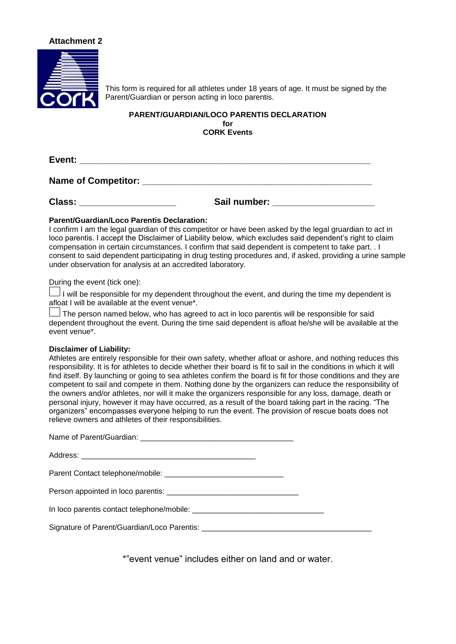#### **Attachment 2**



This form is required for all athletes under 18 years of age. It must be signed by the Parent/Guardian or person acting in loco parentis.

#### **PARENT/GUARDIAN/LOCO PARENTIS DECLARATION for CORK Events**

**Event: \_\_\_\_\_\_\_\_\_\_\_\_\_\_\_\_\_\_\_\_\_\_\_\_\_\_\_\_\_\_\_\_\_\_\_\_\_\_\_\_\_\_\_\_\_\_\_\_\_\_\_\_\_\_\_\_\_**

**Name of Competitor:**  $\blacksquare$ 

**Class: \_\_\_\_\_\_\_\_\_\_\_\_\_\_\_\_\_\_\_ Sail number: \_\_\_\_\_\_\_\_\_\_\_\_\_\_\_\_\_\_\_\_**

#### **Parent/Guardian/Loco Parentis Declaration:**

I confirm I am the legal guardian of this competitor or have been asked by the legal gruardian to act in loco parentis. I accept the Disclaimer of Liability below, which excludes said dependent's right to claim compensation in certain circumstances. I confirm that said dependent is competent to take part. . I consent to said dependent participating in drug testing procedures and, if asked, providing a urine sample under observation for analysis at an accredited laboratory.

During the event (tick one):

I will be responsible for my dependent throughout the event, and during the time my dependent is afloat I will be available at the event venue\*.

 $\rfloor$ The person named below, who has agreed to act in loco parentis will be responsible for said dependent throughout the event. During the time said dependent is afloat he/she will be available at the event venue\*.

#### **Disclaimer of Liability:**

Athletes are entirely responsible for their own safety, whether afloat or ashore, and nothing reduces this responsibility. It is for athletes to decide whether their board is fit to sail in the conditions in which it will find itself. By launching or going to sea athletes confirm the board is fit for those conditions and they are competent to sail and compete in them. Nothing done by the organizers can reduce the responsibility of the owners and/or athletes, nor will it make the organizers responsible for any loss, damage, death or personal injury, however it may have occurred, as a result of the board taking part in the racing. "The organizers" encompasses everyone helping to run the event. The provision of rescue boats does not relieve owners and athletes of their responsibilities.

\*"event venue" includes either on land and or water.